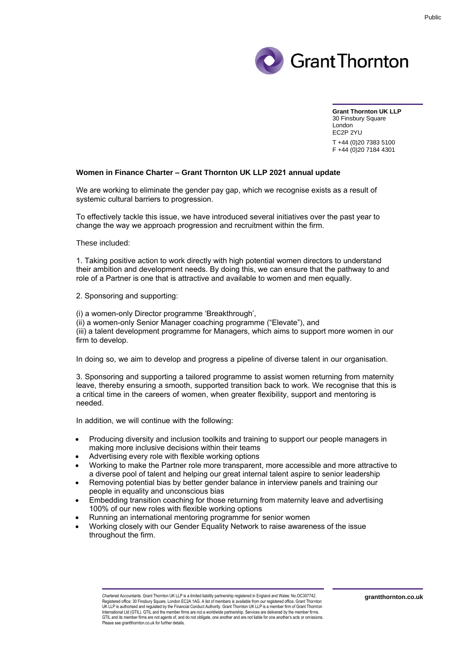

**Grant Thornton UK LLP** 30 Finsbury Square London EC2P 2YU T +44 (0)20 7383 5100 F +44 (0)20 7184 4301

## **Women in Finance Charter – Grant Thornton UK LLP 2021 annual update**

We are working to eliminate the gender pay gap, which we recognise exists as a result of systemic cultural barriers to progression.

To effectively tackle this issue, we have introduced several initiatives over the past year to change the way we approach progression and recruitment within the firm.

These included:

1. Taking positive action to work directly with high potential women directors to understand their ambition and development needs. By doing this, we can ensure that the pathway to and role of a Partner is one that is attractive and available to women and men equally.

2. Sponsoring and supporting:

(i) a women-only Director programme 'Breakthrough',

(ii) a women-only Senior Manager coaching programme ("Elevate"), and

(iii) a talent development programme for Managers, which aims to support more women in our firm to develop.

In doing so, we aim to develop and progress a pipeline of diverse talent in our organisation.

3. Sponsoring and supporting a tailored programme to assist women returning from maternity leave, thereby ensuring a smooth, supported transition back to work. We recognise that this is a critical time in the careers of women, when greater flexibility, support and mentoring is needed.

In addition, we will continue with the following:

- Producing diversity and inclusion toolkits and training to support our people managers in making more inclusive decisions within their teams
- Advertising every role with flexible working options
- Working to make the Partner role more transparent, more accessible and more attractive to a diverse pool of talent and helping our great internal talent aspire to senior leadership
- Removing potential bias by better gender balance in interview panels and training our people in equality and unconscious bias
- Embedding transition coaching for those returning from maternity leave and advertising 100% of our new roles with flexible working options
- Running an international mentoring programme for senior women
- Working closely with our Gender Equality Network to raise awareness of the issue throughout the firm.